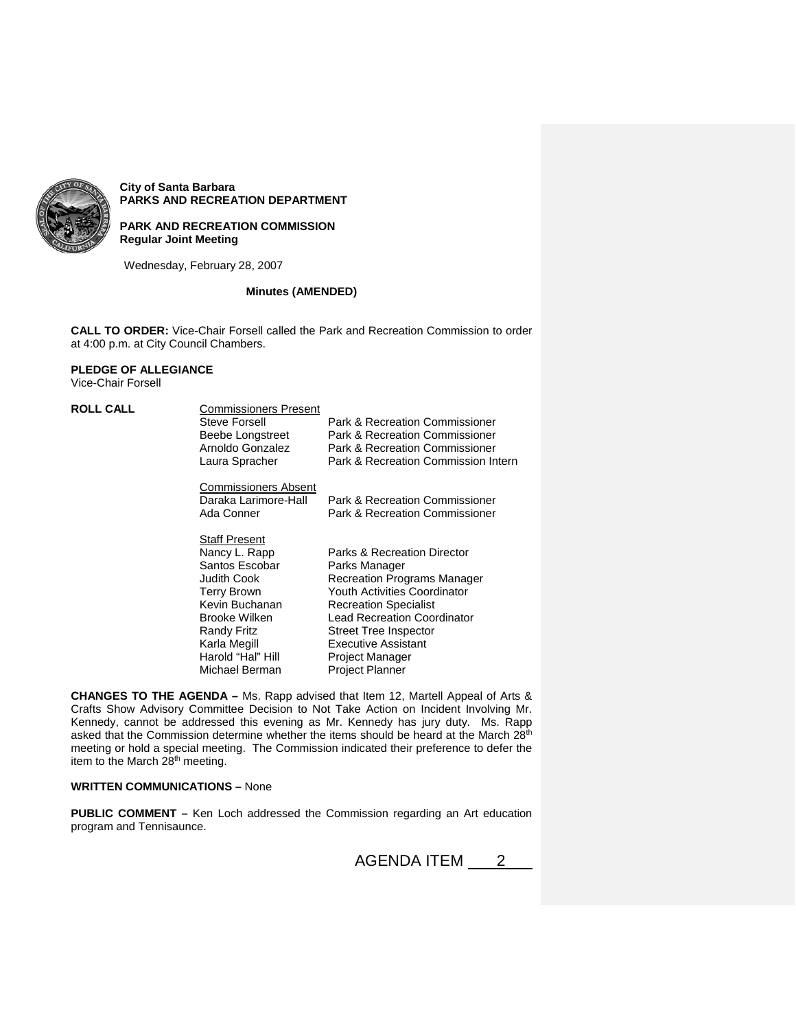

**City of Santa Barbara PARKS AND RECREATION DEPARTMENT**

# **PARK AND RECREATION COMMISSION Regular Joint Meeting**

Wednesday, February 28, 2007

## **Minutes (AMENDED)**

**CALL TO ORDER:** Vice-Chair Forsell called the Park and Recreation Commission to order at 4:00 p.m. at City Council Chambers.

# **PLEDGE OF ALLEGIANCE**

Vice-Chair Forsell

| <b>ROLL CALL</b> | <b>Commissioners Present</b> |                                        |
|------------------|------------------------------|----------------------------------------|
|                  | Steve Forsell                | Park & Recreation Commissioner         |
|                  | Beebe Longstreet             | Park & Recreation Commissioner         |
|                  | Arnoldo Gonzalez             | Park & Recreation Commissioner         |
|                  | Laura Spracher               | Park & Recreation Commission Intern    |
|                  | <b>Commissioners Absent</b>  |                                        |
|                  | Daraka Larimore-Hall         | Park & Recreation Commissioner         |
|                  | Ada Conner                   | Park & Recreation Commissioner         |
|                  | <b>Staff Present</b>         |                                        |
|                  | Nancy L. Rapp                | <b>Parks &amp; Recreation Director</b> |
|                  | Santos Escobar               | Parks Manager                          |
|                  | Judith Cook                  | <b>Recreation Programs Manager</b>     |
|                  | Terry Brown                  | Youth Activities Coordinator           |
|                  | Kevin Buchanan               | <b>Recreation Specialist</b>           |
|                  | Brooke Wilken                | <b>Lead Recreation Coordinator</b>     |
|                  | Randy Fritz                  | Street Tree Inspector                  |
|                  | Karla Megill                 | Executive Assistant                    |
|                  | Harold "Hal" Hill            | Project Manager                        |
|                  | Michael Berman               | <b>Proiect Planner</b>                 |

**CHANGES TO THE AGENDA –** Ms. Rapp advised that Item 12, Martell Appeal of Arts & Crafts Show Advisory Committee Decision to Not Take Action on Incident Involving Mr. Kennedy, cannot be addressed this evening as Mr. Kennedy has jury duty. Ms. Rapp asked that the Commission determine whether the items should be heard at the March 28<sup>th</sup> meeting or hold a special meeting. The Commission indicated their preference to defer the item to the March 28<sup>th</sup> meeting.

# **WRITTEN COMMUNICATIONS –** None

**PUBLIC COMMENT –** Ken Loch addressed the Commission regarding an Art education program and Tennisaunce.

AGENDA ITEM 2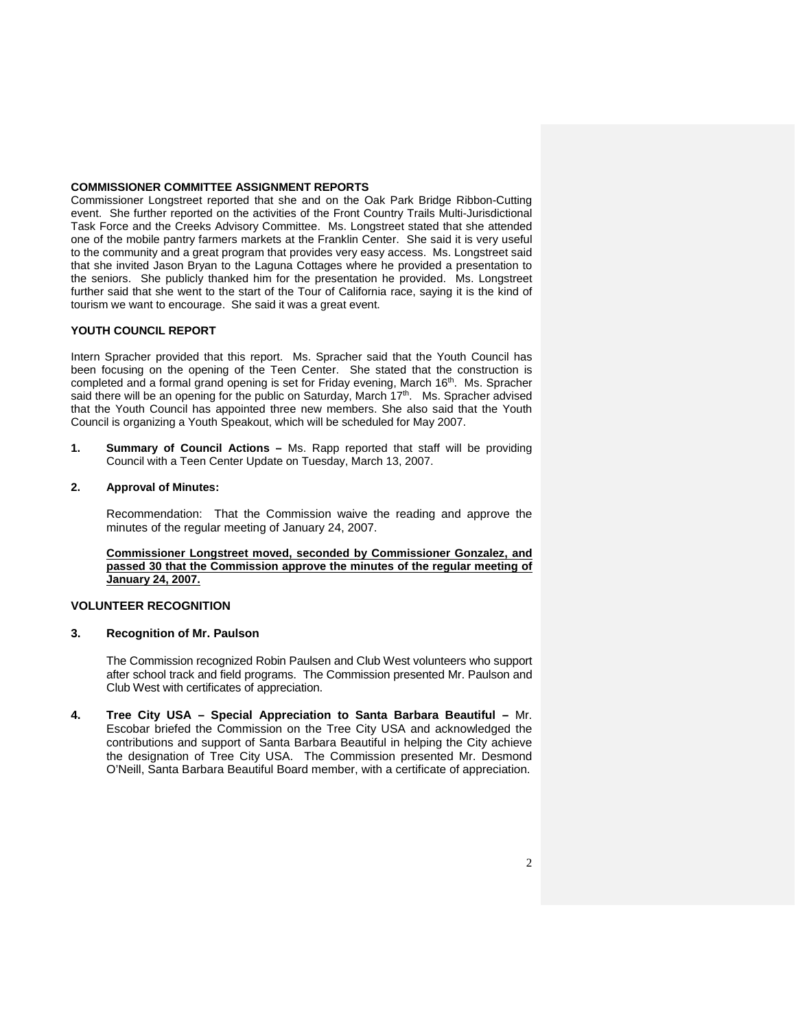### **COMMISSIONER COMMITTEE ASSIGNMENT REPORTS**

Commissioner Longstreet reported that she and on the Oak Park Bridge Ribbon-Cutting event. She further reported on the activities of the Front Country Trails Multi-Jurisdictional Task Force and the Creeks Advisory Committee. Ms. Longstreet stated that she attended one of the mobile pantry farmers markets at the Franklin Center. She said it is very useful to the community and a great program that provides very easy access. Ms. Longstreet said that she invited Jason Bryan to the Laguna Cottages where he provided a presentation to the seniors. She publicly thanked him for the presentation he provided. Ms. Longstreet further said that she went to the start of the Tour of California race, saying it is the kind of tourism we want to encourage. She said it was a great event.

## **YOUTH COUNCIL REPORT**

Intern Spracher provided that this report. Ms. Spracher said that the Youth Council has been focusing on the opening of the Teen Center. She stated that the construction is completed and a formal grand opening is set for Friday evening, March 16<sup>th</sup>. Ms. Spracher said there will be an opening for the public on Saturday, March  $17<sup>th</sup>$ . Ms. Spracher advised that the Youth Council has appointed three new members. She also said that the Youth Council is organizing a Youth Speakout, which will be scheduled for May 2007.

**1. Summary of Council Actions –** Ms. Rapp reported that staff will be providing Council with a Teen Center Update on Tuesday, March 13, 2007.

#### **2. Approval of Minutes:**

Recommendation: That the Commission waive the reading and approve the minutes of the regular meeting of January 24, 2007.

**Commissioner Longstreet moved, seconded by Commissioner Gonzalez, and passed 30 that the Commission approve the minutes of the regular meeting of January 24, 2007.**

### **VOLUNTEER RECOGNITION**

#### **3. Recognition of Mr. Paulson**

The Commission recognized Robin Paulsen and Club West volunteers who support after school track and field programs. The Commission presented Mr. Paulson and Club West with certificates of appreciation.

**4. Tree City USA – Special Appreciation to Santa Barbara Beautiful –** Mr. Escobar briefed the Commission on the Tree City USA and acknowledged the contributions and support of Santa Barbara Beautiful in helping the City achieve the designation of Tree City USA. The Commission presented Mr. Desmond O'Neill, Santa Barbara Beautiful Board member, with a certificate of appreciation.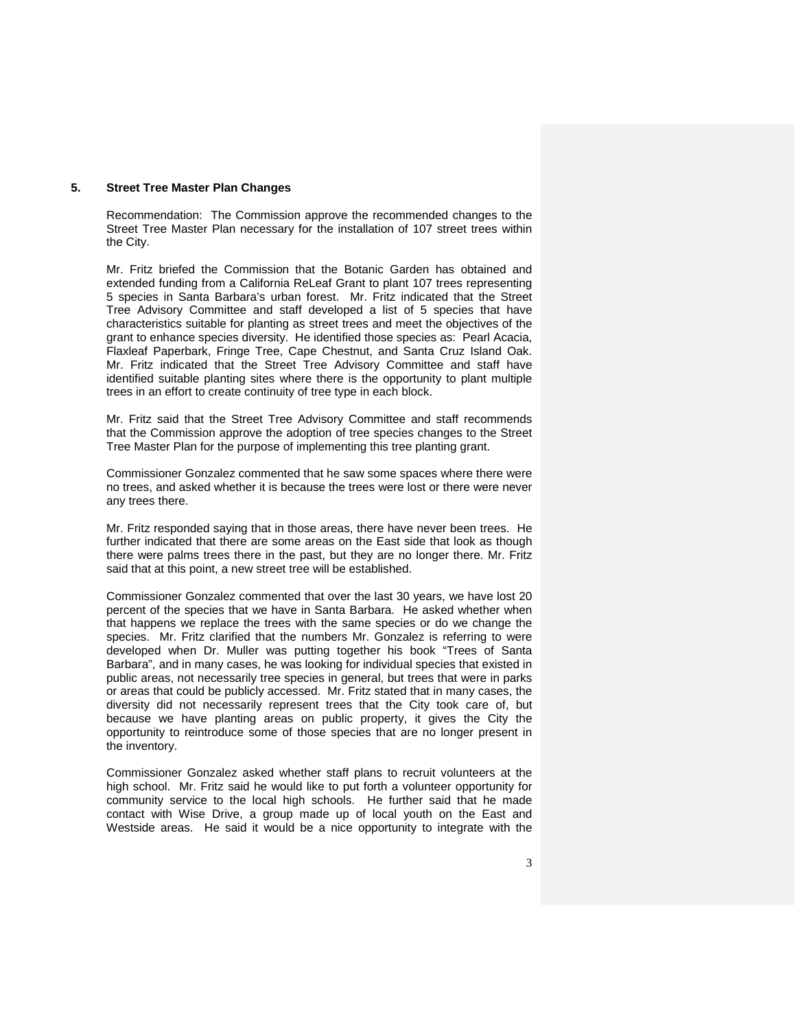## **5. Street Tree Master Plan Changes**

Recommendation: The Commission approve the recommended changes to the Street Tree Master Plan necessary for the installation of 107 street trees within the City.

Mr. Fritz briefed the Commission that the Botanic Garden has obtained and extended funding from a California ReLeaf Grant to plant 107 trees representing 5 species in Santa Barbara's urban forest. Mr. Fritz indicated that the Street Tree Advisory Committee and staff developed a list of 5 species that have characteristics suitable for planting as street trees and meet the objectives of the grant to enhance species diversity. He identified those species as: Pearl Acacia, Flaxleaf Paperbark, Fringe Tree, Cape Chestnut, and Santa Cruz Island Oak. Mr. Fritz indicated that the Street Tree Advisory Committee and staff have identified suitable planting sites where there is the opportunity to plant multiple trees in an effort to create continuity of tree type in each block.

Mr. Fritz said that the Street Tree Advisory Committee and staff recommends that the Commission approve the adoption of tree species changes to the Street Tree Master Plan for the purpose of implementing this tree planting grant.

Commissioner Gonzalez commented that he saw some spaces where there were no trees, and asked whether it is because the trees were lost or there were never any trees there.

Mr. Fritz responded saying that in those areas, there have never been trees. He further indicated that there are some areas on the East side that look as though there were palms trees there in the past, but they are no longer there. Mr. Fritz said that at this point, a new street tree will be established.

Commissioner Gonzalez commented that over the last 30 years, we have lost 20 percent of the species that we have in Santa Barbara. He asked whether when that happens we replace the trees with the same species or do we change the species. Mr. Fritz clarified that the numbers Mr. Gonzalez is referring to were developed when Dr. Muller was putting together his book "Trees of Santa Barbara", and in many cases, he was looking for individual species that existed in public areas, not necessarily tree species in general, but trees that were in parks or areas that could be publicly accessed. Mr. Fritz stated that in many cases, the diversity did not necessarily represent trees that the City took care of, but because we have planting areas on public property, it gives the City the opportunity to reintroduce some of those species that are no longer present in the inventory.

Commissioner Gonzalez asked whether staff plans to recruit volunteers at the high school. Mr. Fritz said he would like to put forth a volunteer opportunity for community service to the local high schools. He further said that he made contact with Wise Drive, a group made up of local youth on the East and Westside areas. He said it would be a nice opportunity to integrate with the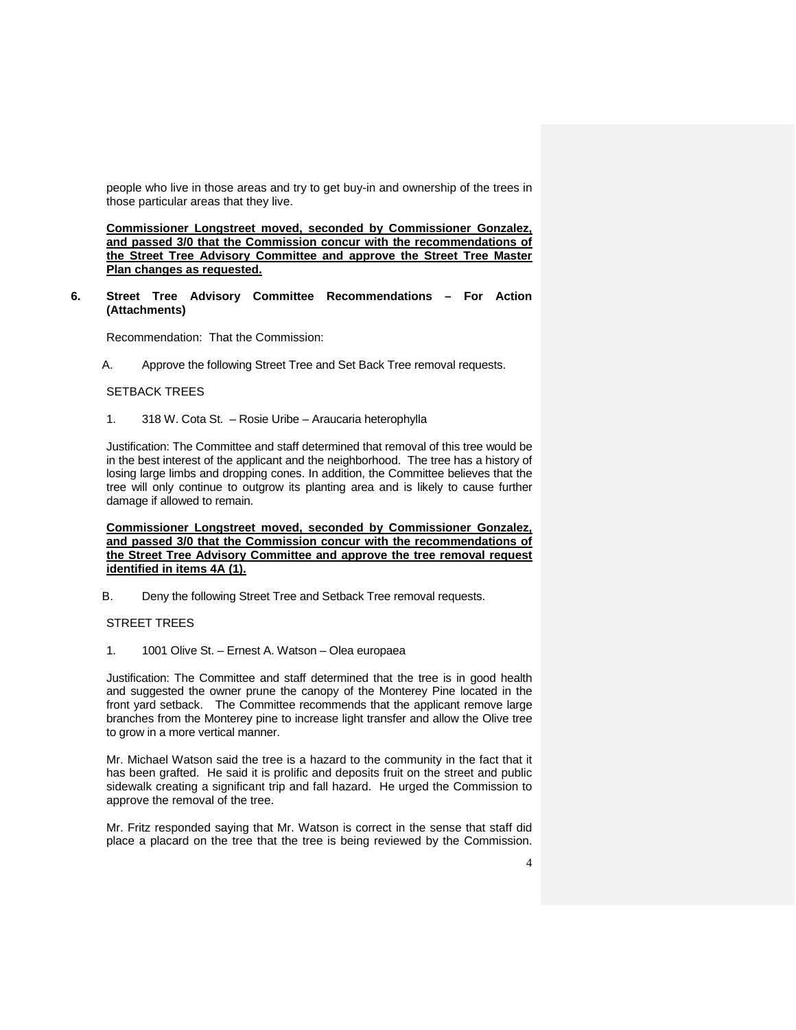people who live in those areas and try to get buy-in and ownership of the trees in those particular areas that they live.

**Commissioner Longstreet moved, seconded by Commissioner Gonzalez, and passed 3/0 that the Commission concur with the recommendations of the Street Tree Advisory Committee and approve the Street Tree Master Plan changes as requested.**

**6. Street Tree Advisory Committee Recommendations – For Action (Attachments)**

Recommendation: That the Commission:

A. Approve the following Street Tree and Set Back Tree removal requests.

### SETBACK TREES

1. 318 W. Cota St. – Rosie Uribe – Araucaria heterophylla

Justification: The Committee and staff determined that removal of this tree would be in the best interest of the applicant and the neighborhood. The tree has a history of losing large limbs and dropping cones. In addition, the Committee believes that the tree will only continue to outgrow its planting area and is likely to cause further damage if allowed to remain.

**Commissioner Longstreet moved, seconded by Commissioner Gonzalez, and passed 3/0 that the Commission concur with the recommendations of the Street Tree Advisory Committee and approve the tree removal request identified in items 4A (1).**

B. Deny the following Street Tree and Setback Tree removal requests.

### STREET TREES

1. 1001 Olive St. – Ernest A. Watson – Olea europaea

Justification: The Committee and staff determined that the tree is in good health and suggested the owner prune the canopy of the Monterey Pine located in the front yard setback. The Committee recommends that the applicant remove large branches from the Monterey pine to increase light transfer and allow the Olive tree to grow in a more vertical manner.

Mr. Michael Watson said the tree is a hazard to the community in the fact that it has been grafted. He said it is prolific and deposits fruit on the street and public sidewalk creating a significant trip and fall hazard. He urged the Commission to approve the removal of the tree.

Mr. Fritz responded saying that Mr. Watson is correct in the sense that staff did place a placard on the tree that the tree is being reviewed by the Commission.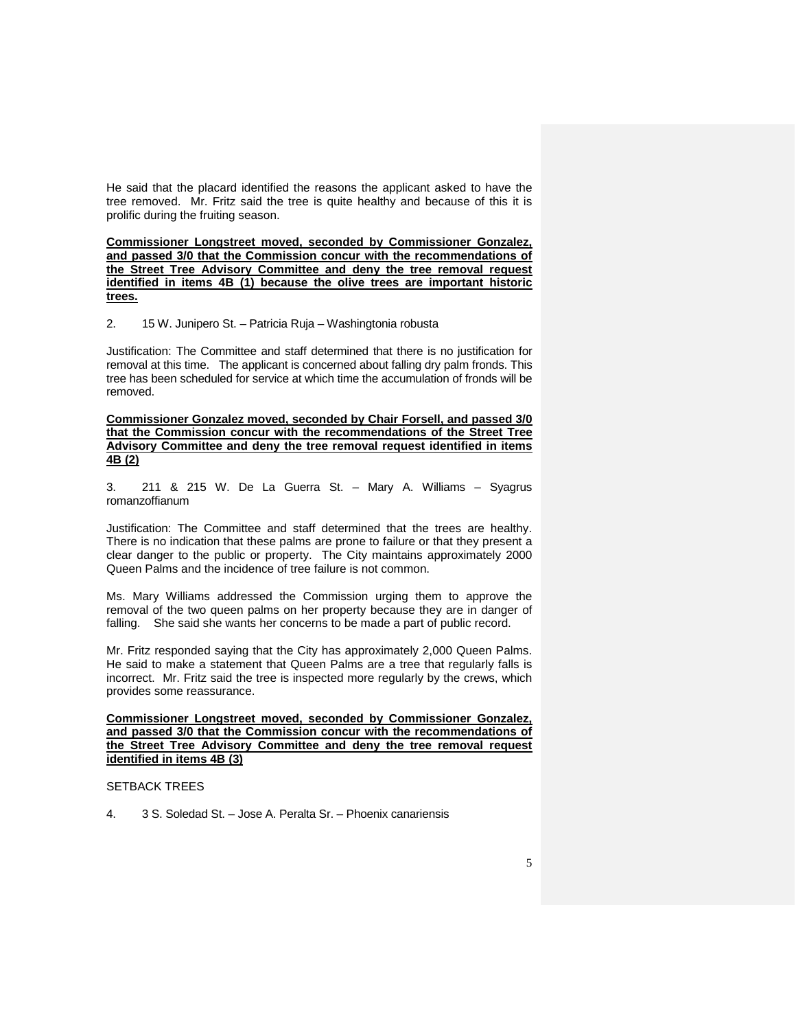He said that the placard identified the reasons the applicant asked to have the tree removed. Mr. Fritz said the tree is quite healthy and because of this it is prolific during the fruiting season.

**Commissioner Longstreet moved, seconded by Commissioner Gonzalez, and passed 3/0 that the Commission concur with the recommendations of the Street Tree Advisory Committee and deny the tree removal request identified in items 4B (1) because the olive trees are important historic trees.**

2. 15 W. Junipero St. – Patricia Ruja – Washingtonia robusta

Justification: The Committee and staff determined that there is no justification for removal at this time. The applicant is concerned about falling dry palm fronds. This tree has been scheduled for service at which time the accumulation of fronds will be removed.

**Commissioner Gonzalez moved, seconded by Chair Forsell, and passed 3/0 that the Commission concur with the recommendations of the Street Tree Advisory Committee and deny the tree removal request identified in items 4B (2)**

3. 211 & 215 W. De La Guerra St. – Mary A. Williams – Syagrus romanzoffianum

Justification: The Committee and staff determined that the trees are healthy. There is no indication that these palms are prone to failure or that they present a clear danger to the public or property. The City maintains approximately 2000 Queen Palms and the incidence of tree failure is not common.

Ms. Mary Williams addressed the Commission urging them to approve the removal of the two queen palms on her property because they are in danger of falling. She said she wants her concerns to be made a part of public record.

Mr. Fritz responded saying that the City has approximately 2,000 Queen Palms. He said to make a statement that Queen Palms are a tree that regularly falls is incorrect. Mr. Fritz said the tree is inspected more regularly by the crews, which provides some reassurance.

**Commissioner Longstreet moved, seconded by Commissioner Gonzalez, and passed 3/0 that the Commission concur with the recommendations of the Street Tree Advisory Committee and deny the tree removal request identified in items 4B (3)**

# SETBACK TREES

4. 3 S. Soledad St. – Jose A. Peralta Sr. – Phoenix canariensis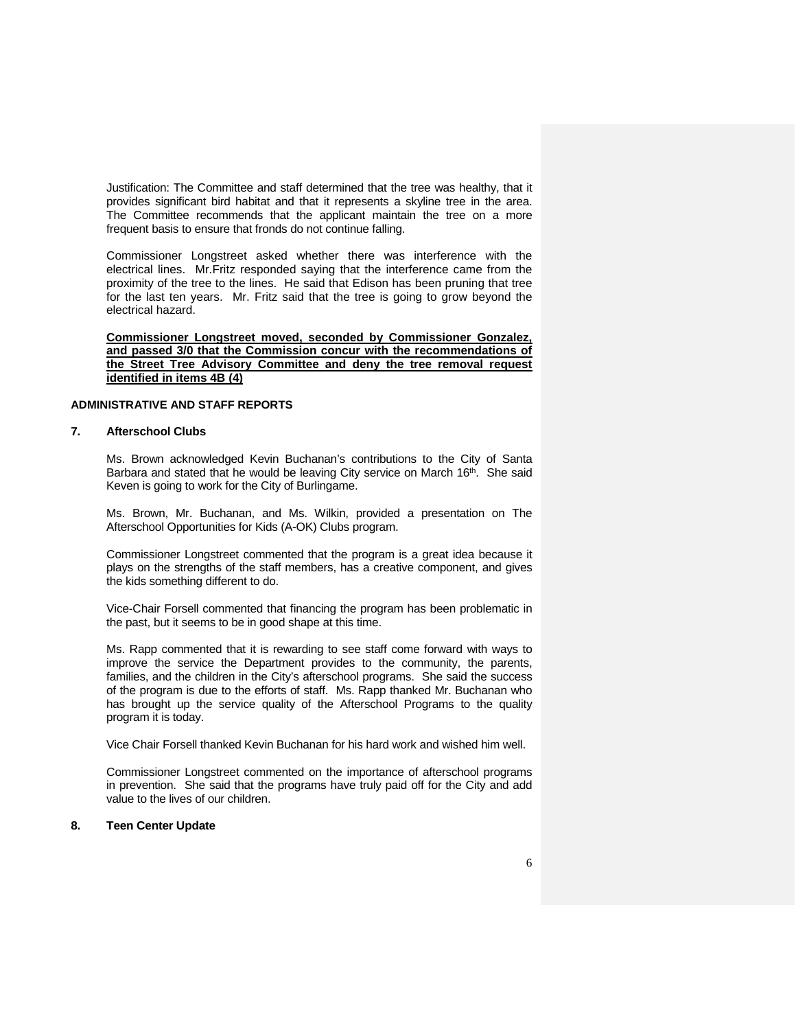Justification: The Committee and staff determined that the tree was healthy, that it provides significant bird habitat and that it represents a skyline tree in the area. The Committee recommends that the applicant maintain the tree on a more frequent basis to ensure that fronds do not continue falling.

Commissioner Longstreet asked whether there was interference with the electrical lines. Mr.Fritz responded saying that the interference came from the proximity of the tree to the lines. He said that Edison has been pruning that tree for the last ten years. Mr. Fritz said that the tree is going to grow beyond the electrical hazard.

**Commissioner Longstreet moved, seconded by Commissioner Gonzalez, and passed 3/0 that the Commission concur with the recommendations of the Street Tree Advisory Committee and deny the tree removal request identified in items 4B (4)**

### **ADMINISTRATIVE AND STAFF REPORTS**

# **7. Afterschool Clubs**

Ms. Brown acknowledged Kevin Buchanan's contributions to the City of Santa Barbara and stated that he would be leaving City service on March 16<sup>th</sup>. She said Keven is going to work for the City of Burlingame.

Ms. Brown, Mr. Buchanan, and Ms. Wilkin, provided a presentation on The Afterschool Opportunities for Kids (A-OK) Clubs program.

Commissioner Longstreet commented that the program is a great idea because it plays on the strengths of the staff members, has a creative component, and gives the kids something different to do.

Vice-Chair Forsell commented that financing the program has been problematic in the past, but it seems to be in good shape at this time.

Ms. Rapp commented that it is rewarding to see staff come forward with ways to improve the service the Department provides to the community, the parents, families, and the children in the City's afterschool programs. She said the success of the program is due to the efforts of staff. Ms. Rapp thanked Mr. Buchanan who has brought up the service quality of the Afterschool Programs to the quality program it is today.

Vice Chair Forsell thanked Kevin Buchanan for his hard work and wished him well.

Commissioner Longstreet commented on the importance of afterschool programs in prevention. She said that the programs have truly paid off for the City and add value to the lives of our children.

### **8. Teen Center Update**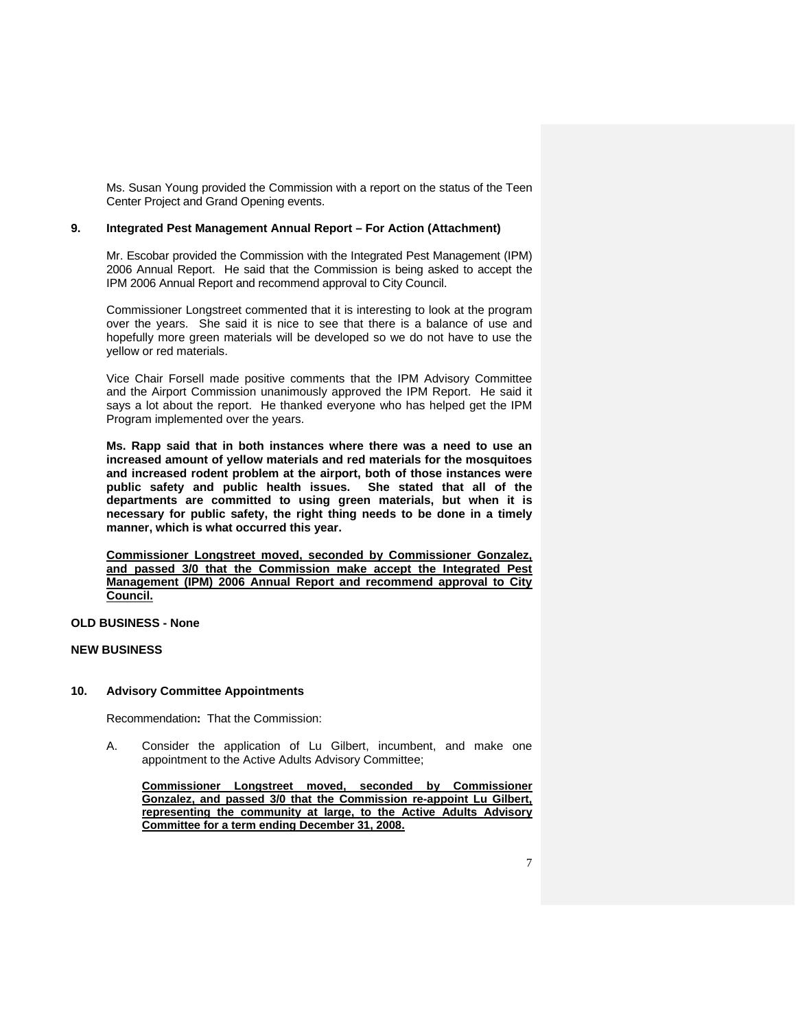Ms. Susan Young provided the Commission with a report on the status of the Teen Center Project and Grand Opening events.

# **9. Integrated Pest Management Annual Report – For Action (Attachment)**

Mr. Escobar provided the Commission with the Integrated Pest Management (IPM) 2006 Annual Report. He said that the Commission is being asked to accept the IPM 2006 Annual Report and recommend approval to City Council.

Commissioner Longstreet commented that it is interesting to look at the program over the years. She said it is nice to see that there is a balance of use and hopefully more green materials will be developed so we do not have to use the yellow or red materials.

Vice Chair Forsell made positive comments that the IPM Advisory Committee and the Airport Commission unanimously approved the IPM Report. He said it says a lot about the report. He thanked everyone who has helped get the IPM Program implemented over the years.

**Ms. Rapp said that in both instances where there was a need to use an increased amount of yellow materials and red materials for the mosquitoes and increased rodent problem at the airport, both of those instances were public safety and public health issues. She stated that all of the departments are committed to using green materials, but when it is necessary for public safety, the right thing needs to be done in a timely manner, which is what occurred this year.**

**Commissioner Longstreet moved, seconded by Commissioner Gonzalez, and passed 3/0 that the Commission make accept the Integrated Pest Management (IPM) 2006 Annual Report and recommend approval to City Council.**

**OLD BUSINESS - None**

# **NEW BUSINESS**

### **10. Advisory Committee Appointments**

Recommendation**:** That the Commission:

A. Consider the application of Lu Gilbert, incumbent, and make one appointment to the Active Adults Advisory Committee;

**Commissioner Longstreet moved, seconded by Commissioner Gonzalez, and passed 3/0 that the Commission re-appoint Lu Gilbert, representing the community at large, to the Active Adults Advisory Committee for a term ending December 31, 2008.**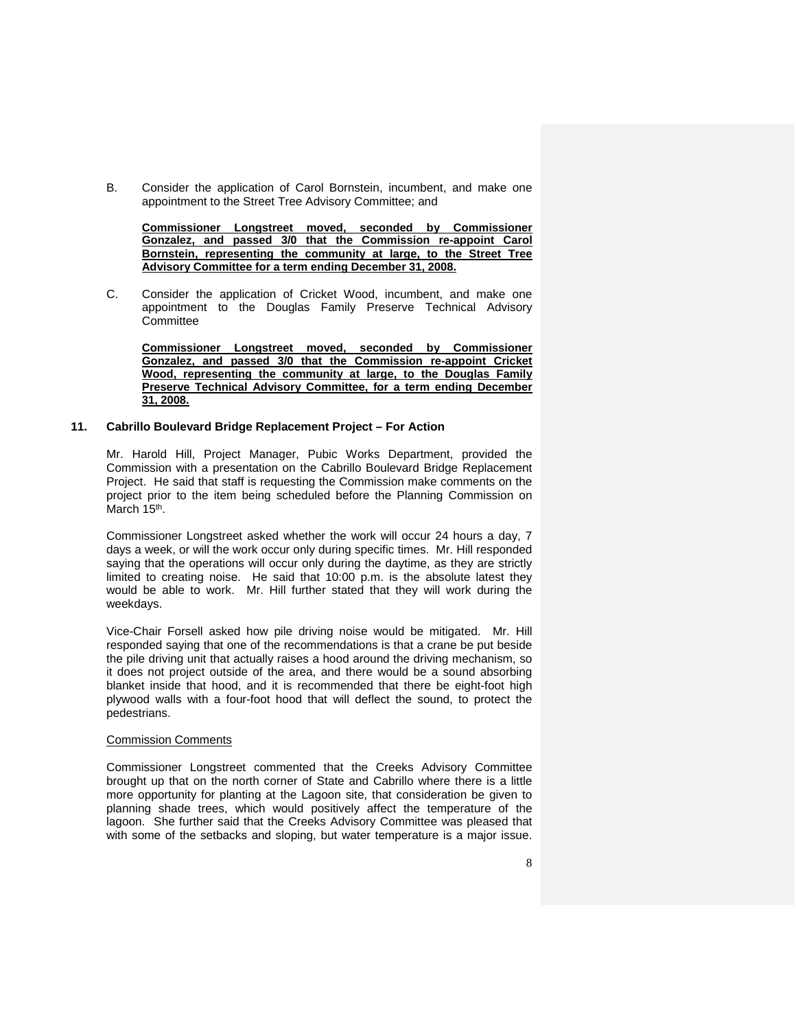B. Consider the application of Carol Bornstein, incumbent, and make one appointment to the Street Tree Advisory Committee; and

**Commissioner Longstreet moved, seconded by Commissioner Gonzalez, and passed 3/0 that the Commission re-appoint Carol Bornstein, representing the community at large, to the Street Tree Advisory Committee for a term ending December 31, 2008.**

C. Consider the application of Cricket Wood, incumbent, and make one appointment to the Douglas Family Preserve Technical Advisory Committee

**Commissioner Longstreet moved, seconded by Commissioner Gonzalez, and passed 3/0 that the Commission re-appoint Cricket Wood, representing the community at large, to the Douglas Family Preserve Technical Advisory Committee, for a term ending December 31, 2008.**

### **11. Cabrillo Boulevard Bridge Replacement Project – For Action**

Mr. Harold Hill, Project Manager, Pubic Works Department, provided the Commission with a presentation on the Cabrillo Boulevard Bridge Replacement Project. He said that staff is requesting the Commission make comments on the project prior to the item being scheduled before the Planning Commission on March 15<sup>th</sup>.

Commissioner Longstreet asked whether the work will occur 24 hours a day, 7 days a week, or will the work occur only during specific times. Mr. Hill responded saying that the operations will occur only during the daytime, as they are strictly limited to creating noise. He said that 10:00 p.m. is the absolute latest they would be able to work. Mr. Hill further stated that they will work during the weekdays.

Vice-Chair Forsell asked how pile driving noise would be mitigated. Mr. Hill responded saying that one of the recommendations is that a crane be put beside the pile driving unit that actually raises a hood around the driving mechanism, so it does not project outside of the area, and there would be a sound absorbing blanket inside that hood, and it is recommended that there be eight-foot high plywood walls with a four-foot hood that will deflect the sound, to protect the pedestrians.

#### Commission Comments

Commissioner Longstreet commented that the Creeks Advisory Committee brought up that on the north corner of State and Cabrillo where there is a little more opportunity for planting at the Lagoon site, that consideration be given to planning shade trees, which would positively affect the temperature of the lagoon. She further said that the Creeks Advisory Committee was pleased that with some of the setbacks and sloping, but water temperature is a major issue.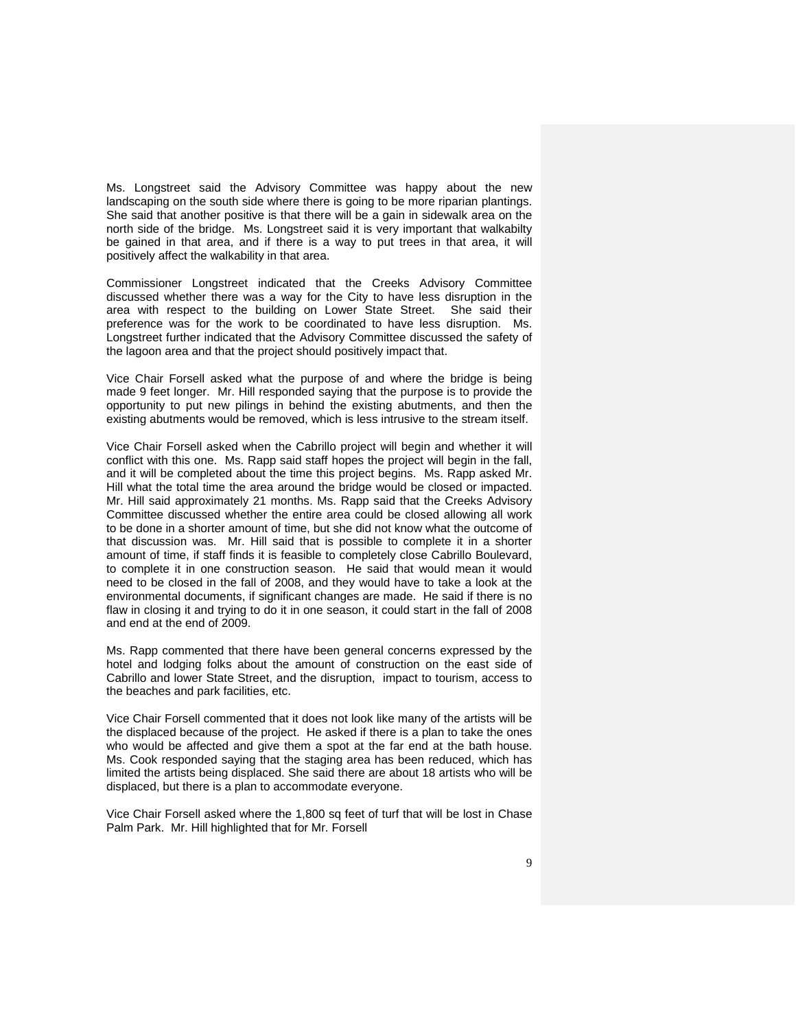Ms. Longstreet said the Advisory Committee was happy about the new landscaping on the south side where there is going to be more riparian plantings. She said that another positive is that there will be a gain in sidewalk area on the north side of the bridge. Ms. Longstreet said it is very important that walkabilty be gained in that area, and if there is a way to put trees in that area, it will positively affect the walkability in that area.

Commissioner Longstreet indicated that the Creeks Advisory Committee discussed whether there was a way for the City to have less disruption in the area with respect to the building on Lower State Street. She said their preference was for the work to be coordinated to have less disruption. Ms. Longstreet further indicated that the Advisory Committee discussed the safety of the lagoon area and that the project should positively impact that.

Vice Chair Forsell asked what the purpose of and where the bridge is being made 9 feet longer. Mr. Hill responded saying that the purpose is to provide the opportunity to put new pilings in behind the existing abutments, and then the existing abutments would be removed, which is less intrusive to the stream itself.

Vice Chair Forsell asked when the Cabrillo project will begin and whether it will conflict with this one. Ms. Rapp said staff hopes the project will begin in the fall, and it will be completed about the time this project begins. Ms. Rapp asked Mr. Hill what the total time the area around the bridge would be closed or impacted. Mr. Hill said approximately 21 months. Ms. Rapp said that the Creeks Advisory Committee discussed whether the entire area could be closed allowing all work to be done in a shorter amount of time, but she did not know what the outcome of that discussion was. Mr. Hill said that is possible to complete it in a shorter amount of time, if staff finds it is feasible to completely close Cabrillo Boulevard, to complete it in one construction season. He said that would mean it would need to be closed in the fall of 2008, and they would have to take a look at the environmental documents, if significant changes are made. He said if there is no flaw in closing it and trying to do it in one season, it could start in the fall of 2008 and end at the end of 2009.

Ms. Rapp commented that there have been general concerns expressed by the hotel and lodging folks about the amount of construction on the east side of Cabrillo and lower State Street, and the disruption, impact to tourism, access to the beaches and park facilities, etc.

Vice Chair Forsell commented that it does not look like many of the artists will be the displaced because of the project. He asked if there is a plan to take the ones who would be affected and give them a spot at the far end at the bath house. Ms. Cook responded saying that the staging area has been reduced, which has limited the artists being displaced. She said there are about 18 artists who will be displaced, but there is a plan to accommodate everyone.

Vice Chair Forsell asked where the 1,800 sq feet of turf that will be lost in Chase Palm Park. Mr. Hill highlighted that for Mr. Forsell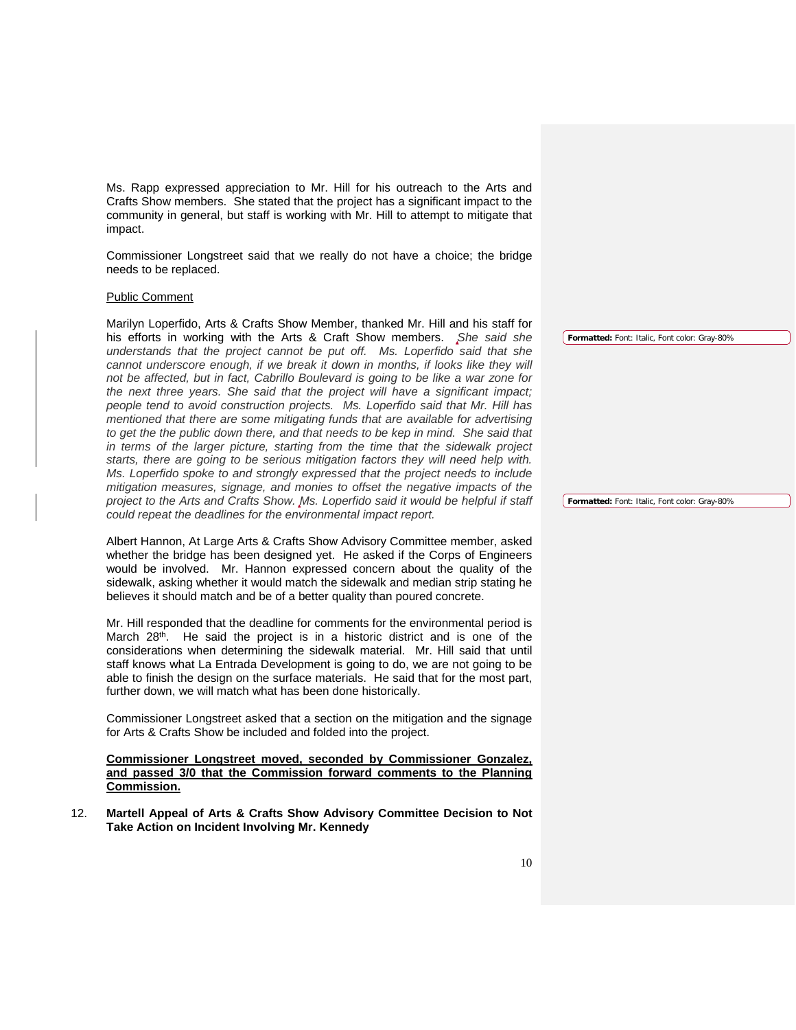Ms. Rapp expressed appreciation to Mr. Hill for his outreach to the Arts and Crafts Show members. She stated that the project has a significant impact to the community in general, but staff is working with Mr. Hill to attempt to mitigate that impact.

Commissioner Longstreet said that we really do not have a choice; the bridge needs to be replaced.

### Public Comment

Marilyn Loperfido, Arts & Crafts Show Member, thanked Mr. Hill and his staff for his efforts in working with the Arts & Craft Show members. *She said she understands that the project cannot be put off. Ms. Loperfido said that she cannot underscore enough, if we break it down in months, if looks like they will not be affected, but in fact, Cabrillo Boulevard is going to be like a war zone for the next three years. She said that the project will have a significant impact; people tend to avoid construction projects. Ms. Loperfido said that Mr. Hill has mentioned that there are some mitigating funds that are available for advertising to get the the public down there, and that needs to be kep in mind. She said that in terms of the larger picture, starting from the time that the sidewalk project starts, there are going to be serious mitigation factors they will need help with. Ms. Loperfido spoke to and strongly expressed that the project needs to include mitigation measures, signage, and monies to offset the negative impacts of the project to the Arts and Crafts Show. Ms. Loperfido said it would be helpful if staff could repeat the deadlines for the environmental impact report.*

Albert Hannon, At Large Arts & Crafts Show Advisory Committee member, asked whether the bridge has been designed yet. He asked if the Corps of Engineers would be involved. Mr. Hannon expressed concern about the quality of the sidewalk, asking whether it would match the sidewalk and median strip stating he believes it should match and be of a better quality than poured concrete.

Mr. Hill responded that the deadline for comments for the environmental period is March 28<sup>th</sup>. He said the project is in a historic district and is one of the considerations when determining the sidewalk material. Mr. Hill said that until staff knows what La Entrada Development is going to do, we are not going to be able to finish the design on the surface materials. He said that for the most part, further down, we will match what has been done historically.

Commissioner Longstreet asked that a section on the mitigation and the signage for Arts & Crafts Show be included and folded into the project.

**Commissioner Longstreet moved, seconded by Commissioner Gonzalez, and passed 3/0 that the Commission forward comments to the Planning Commission.** 

12. **Martell Appeal of Arts & Crafts Show Advisory Committee Decision to Not Take Action on Incident Involving Mr. Kennedy** 

**Formatted:** Font: Italic, Font color: Gray-80%

**Formatted:** Font: Italic, Font color: Gray-80%